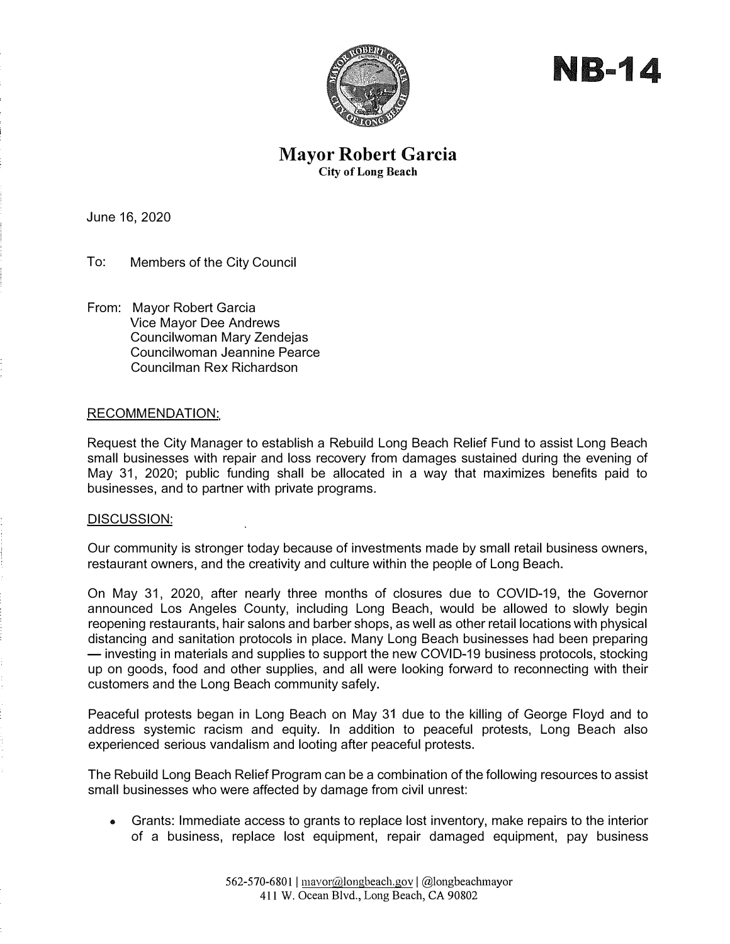

NB-14

## **Mayor Robert Garcia City of Long Beach**

June 16, 2020

To: Members of the City Council

From: Mayor Robert Garcia Vice Mayor Dee Andrews Councilwoman Mary Zendejas Councilwoman Jeannine Pearce Councilman Rex Richardson

#### RECOMMENDATION:

Request the City Manager to establish a Rebuild Long Beach Relief Fund to assist Long Beach small businesses with repair and loss recovery from damages sustained during the evening of May 31, 2020; public funding shall be allocated in a way that maximizes benefits paid to businesses, and to partner with private programs.

#### DISCUSSION:

Our community is stronger today because of investments made by small retail business owners, restaurant owners, and the creativity and culture within the people of Long Beach.

On May 31, 2020, after nearly three months of closures due to COVID-19, the Governor announced Los Angeles County, including Long Beach, would be allowed to slowly begin reopening restaurants, hair salons and barber shops, as well as other retail locations with physical distancing and sanitation protocols in place. Many Long Beach businesses had been preparing - investing in materials and supplies to support the new COVID-19 business protocols, stocking up on goods, food and other supplies, and all were looking forward to reconnecting with their customers and the Long Beach community safely.

Peaceful protests began in Long Beach on May 31 due to the killing of George Floyd and to address systemic racism and equity. In addition to peaceful protests, Long Beach also experienced serious vandalism and looting after peaceful protests.

The Rebuild Long Beach Relief Program can be a combination of the following resources to assist small businesses who were affected by damage from civil unrest:

• Grants: Immediate access to grants to replace lost inventory, make repairs to the interior of a business, replace lost equipment, repair damaged equipment, pay business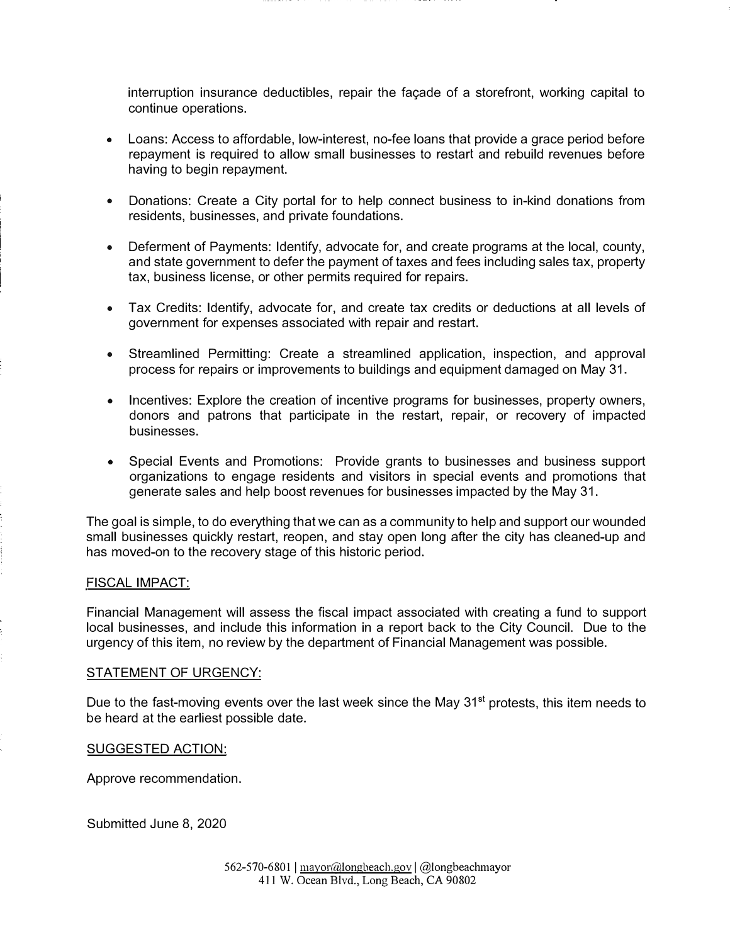interruption insurance deductibles, repair the façade of a storefront, working capital to continue operations.

- Loans: Access to affordable, low-interest, no-fee loans that provide a grace period before repayment is required to allow small businesses to restart and rebuild revenues before having to begin repayment.
- Donations: Create a City portal for to help connect business to in-kind donations from residents, businesses, and private foundations.
- Deferment of Payments: Identify, advocate for, and create programs at the local, county, and state government to defer the payment of taxes and fees including sales tax, property tax, business license, or other permits required for repairs.
- Tax Credits: Identify, advocate for, and create tax credits or deductions at all levels of government for expenses associated with repair and restart.
- Streamlined Permitting: Create a streamlined application, inspection, and approval process for repairs or improvements to buildings and equipment damaged on May 31.
- Incentives: Explore the creation of incentive programs for businesses, property owners, donors and patrons that participate in the restart, repair, or recovery of impacted businesses.
- Special Events and Promotions: Provide grants to businesses and business support organizations to engage residents and visitors in special events and promotions that generate sales and help boost revenues for businesses impacted by the May 31.

The goal is simple, to do everything that we can as a community to help and support our wounded small businesses quickly restart, reopen, and stay open long after the city has cleaned-up and has moved-on to the recovery stage of this historic period.

#### FISCAL IMPACT:

Financial Management will assess the fiscal impact associated with creating a fund to support local businesses, and include this information in a report back to the City Council. Due to the urgency of this item, no review by the department of Financial Management was possible.

### STATEMENT OF URGENCY:

Due to the fast-moving events over the last week since the May 31<sup>st</sup> protests, this item needs to be heard at the earliest possible date.

#### SUGGESTED ACTION:

Approve recommendation.

Submitted June 8, 2020